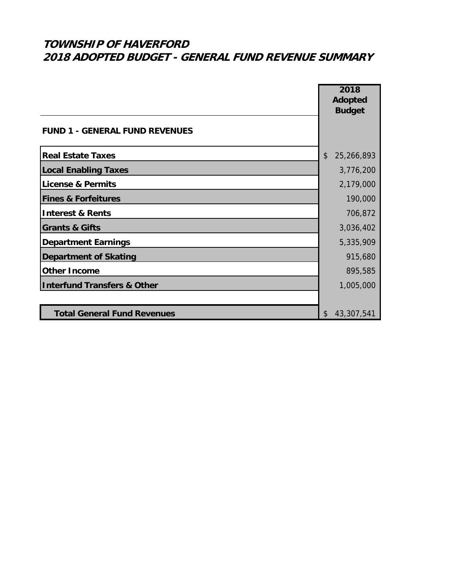|                                        | 2018<br><b>Adopted</b><br><b>Budget</b> |
|----------------------------------------|-----------------------------------------|
| <b>FUND 1 - GENERAL FUND REVENUES</b>  |                                         |
| <b>Real Estate Taxes</b>               | $\mathcal{L}$<br>25,266,893             |
| <b>Local Enabling Taxes</b>            | 3,776,200                               |
| <b>License &amp; Permits</b>           | 2,179,000                               |
| <b>Fines &amp; Forfeitures</b>         | 190,000                                 |
| <b>Interest &amp; Rents</b>            | 706,872                                 |
| <b>Grants &amp; Gifts</b>              | 3,036,402                               |
| <b>Department Earnings</b>             | 5,335,909                               |
| <b>Department of Skating</b>           | 915,680                                 |
| <b>Other Income</b>                    | 895,585                                 |
| <b>Interfund Transfers &amp; Other</b> | 1,005,000                               |
|                                        |                                         |
| <b>Total General Fund Revenues</b>     | 43,307,541<br>\$                        |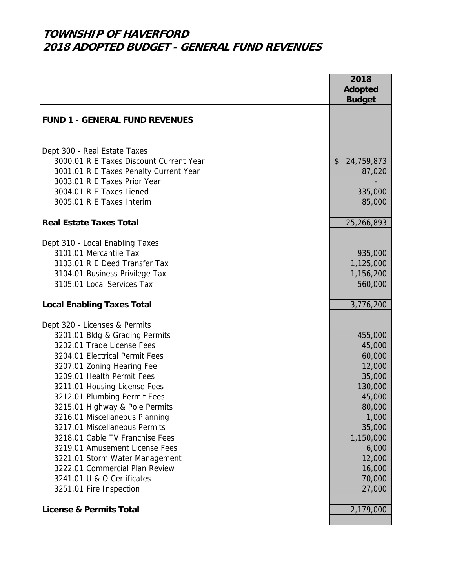|                                                              | 2018              |
|--------------------------------------------------------------|-------------------|
|                                                              | <b>Adopted</b>    |
|                                                              | <b>Budget</b>     |
| <b>FUND 1 - GENERAL FUND REVENUES</b>                        |                   |
|                                                              |                   |
|                                                              |                   |
| Dept 300 - Real Estate Taxes                                 |                   |
| 3000.01 R E Taxes Discount Current Year                      | 24,759,873<br>\$  |
| 3001.01 R E Taxes Penalty Current Year                       | 87,020            |
| 3003.01 R E Taxes Prior Year                                 |                   |
| 3004.01 R E Taxes Liened<br>3005.01 R E Taxes Interim        | 335,000<br>85,000 |
|                                                              |                   |
| <b>Real Estate Taxes Total</b>                               | 25,266,893        |
| Dept 310 - Local Enabling Taxes                              |                   |
| 3101.01 Mercantile Tax                                       | 935,000           |
| 3103.01 R E Deed Transfer Tax                                | 1,125,000         |
| 3104.01 Business Privilege Tax                               | 1,156,200         |
| 3105.01 Local Services Tax                                   | 560,000           |
|                                                              |                   |
| <b>Local Enabling Taxes Total</b>                            | 3,776,200         |
| Dept 320 - Licenses & Permits                                |                   |
| 3201.01 Bldg & Grading Permits                               | 455,000           |
| 3202.01 Trade License Fees                                   | 45,000            |
| 3204.01 Electrical Permit Fees                               | 60,000            |
| 3207.01 Zoning Hearing Fee                                   | 12,000            |
| 3209.01 Health Permit Fees                                   | 35,000            |
| 3211.01 Housing License Fees                                 | 130,000           |
| 3212.01 Plumbing Permit Fees                                 | 45,000            |
| 3215.01 Highway & Pole Permits                               | 80,000            |
| 3216.01 Miscellaneous Planning                               | 1,000             |
| 3217.01 Miscellaneous Permits                                | 35,000            |
| 3218.01 Cable TV Franchise Fees                              | 1,150,000         |
| 3219.01 Amusement License Fees                               | 6,000             |
| 3221.01 Storm Water Management                               | 12,000            |
| 3222.01 Commercial Plan Review<br>3241.01 U & O Certificates | 16,000            |
|                                                              | 70,000            |
| 3251.01 Fire Inspection                                      | 27,000            |
| <b>License &amp; Permits Total</b>                           | 2,179,000         |
|                                                              |                   |
|                                                              |                   |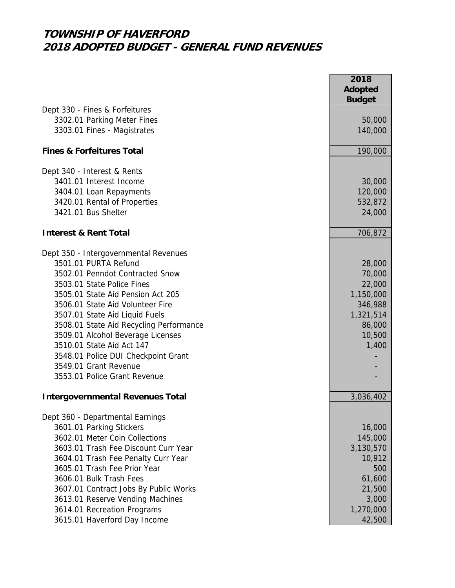|                                         | 2018<br><b>Adopted</b><br><b>Budget</b> |
|-----------------------------------------|-----------------------------------------|
| Dept 330 - Fines & Forfeitures          |                                         |
| 3302.01 Parking Meter Fines             | 50,000                                  |
| 3303.01 Fines - Magistrates             | 140,000                                 |
| <b>Fines &amp; Forfeitures Total</b>    | 190,000                                 |
| Dept 340 - Interest & Rents             |                                         |
| 3401.01 Interest Income                 | 30,000                                  |
| 3404.01 Loan Repayments                 | 120,000                                 |
| 3420.01 Rental of Properties            | 532,872                                 |
| 3421.01 Bus Shelter                     | 24,000                                  |
| <b>Interest &amp; Rent Total</b>        | 706,872                                 |
| Dept 350 - Intergovernmental Revenues   |                                         |
| 3501.01 PURTA Refund                    | 28,000                                  |
| 3502.01 Penndot Contracted Snow         | 70,000                                  |
| 3503.01 State Police Fines              | 22,000                                  |
| 3505.01 State Aid Pension Act 205       | 1,150,000                               |
| 3506.01 State Aid Volunteer Fire        | 346,988                                 |
| 3507.01 State Aid Liquid Fuels          | 1,321,514                               |
| 3508.01 State Aid Recycling Performance | 86,000                                  |
| 3509.01 Alcohol Beverage Licenses       | 10,500                                  |
| 3510.01 State Aid Act 147               | 1,400                                   |
| 3548.01 Police DUI Checkpoint Grant     |                                         |
| 3549.01 Grant Revenue                   |                                         |
| 3553.01 Police Grant Revenue            |                                         |
| <b>Intergovernmental Revenues Total</b> | 3,036,402                               |
| Dept 360 - Departmental Earnings        |                                         |
| 3601.01 Parking Stickers                | 16,000                                  |
| 3602.01 Meter Coin Collections          | 145,000                                 |
| 3603.01 Trash Fee Discount Curr Year    | 3,130,570                               |
| 3604.01 Trash Fee Penalty Curr Year     | 10,912                                  |
| 3605.01 Trash Fee Prior Year            | 500                                     |
| 3606.01 Bulk Trash Fees                 | 61,600                                  |
| 3607.01 Contract Jobs By Public Works   | 21,500                                  |
| 3613.01 Reserve Vending Machines        | 3,000                                   |
| 3614.01 Recreation Programs             | 1,270,000                               |
| 3615.01 Haverford Day Income            | 42,500                                  |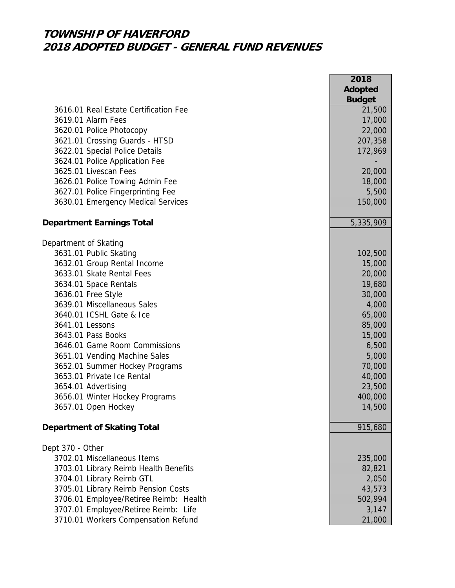|                                        | 2018<br><b>Adopted</b> |
|----------------------------------------|------------------------|
|                                        | <b>Budget</b>          |
| 3616.01 Real Estate Certification Fee  | 21,500                 |
| 3619.01 Alarm Fees                     | 17,000                 |
| 3620.01 Police Photocopy               | 22,000                 |
| 3621.01 Crossing Guards - HTSD         | 207,358                |
| 3622.01 Special Police Details         | 172,969                |
| 3624.01 Police Application Fee         |                        |
| 3625.01 Livescan Fees                  | 20,000                 |
| 3626.01 Police Towing Admin Fee        | 18,000                 |
| 3627.01 Police Fingerprinting Fee      | 5,500                  |
| 3630.01 Emergency Medical Services     | 150,000                |
| <b>Department Earnings Total</b>       | 5,335,909              |
| Department of Skating                  |                        |
| 3631.01 Public Skating                 | 102,500                |
| 3632.01 Group Rental Income            | 15,000                 |
| 3633.01 Skate Rental Fees              | 20,000                 |
| 3634.01 Space Rentals                  | 19,680                 |
| 3636.01 Free Style                     | 30,000                 |
| 3639.01 Miscellaneous Sales            | 4,000                  |
| 3640.01 ICSHL Gate & Ice               | 65,000                 |
| 3641.01 Lessons                        | 85,000                 |
| 3643.01 Pass Books                     | 15,000                 |
| 3646.01 Game Room Commissions          | 6,500                  |
| 3651.01 Vending Machine Sales          | 5,000                  |
| 3652.01 Summer Hockey Programs         | 70,000                 |
| 3653.01 Private Ice Rental             | 40,000                 |
| 3654.01 Advertising                    | 23,500                 |
| 3656.01 Winter Hockey Programs         | 400,000                |
| 3657.01 Open Hockey                    | 14,500                 |
| <b>Department of Skating Total</b>     | 915,680                |
| Dept 370 - Other                       |                        |
| 3702.01 Miscellaneous Items            | 235,000                |
| 3703.01 Library Reimb Health Benefits  | 82,821                 |
| 3704.01 Library Reimb GTL              | 2,050                  |
| 3705.01 Library Reimb Pension Costs    | 43,573                 |
| 3706.01 Employee/Retiree Reimb: Health | 502,994                |
| 3707.01 Employee/Retiree Reimb: Life   | 3,147                  |
| 3710.01 Workers Compensation Refund    | 21,000                 |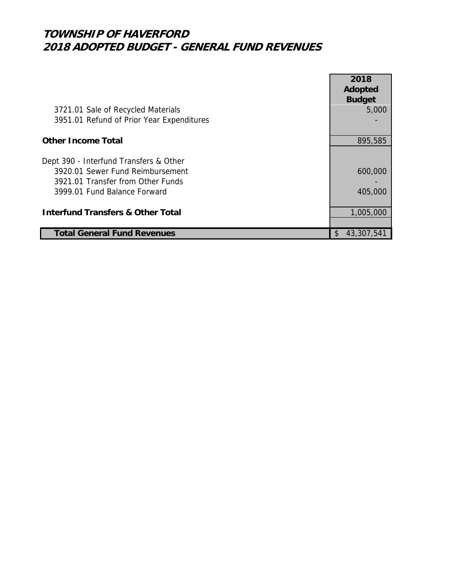|                                              | 2018<br>Adopted        |
|----------------------------------------------|------------------------|
| 3721.01 Sale of Recycled Materials           | <b>Budget</b><br>5,000 |
| 3951.01 Refund of Prior Year Expenditures    |                        |
| <b>Other Income Total</b>                    | 895,585                |
| Dept 390 - Interfund Transfers & Other       |                        |
| 3920.01 Sewer Fund Reimbursement             | 600,000                |
| 3921.01 Transfer from Other Funds            |                        |
| 3999.01 Fund Balance Forward                 | 405,000                |
| <b>Interfund Transfers &amp; Other Total</b> | 1,005,000              |
|                                              |                        |
| <b>Total General Fund Revenues</b>           | 43,307,541<br>\$.      |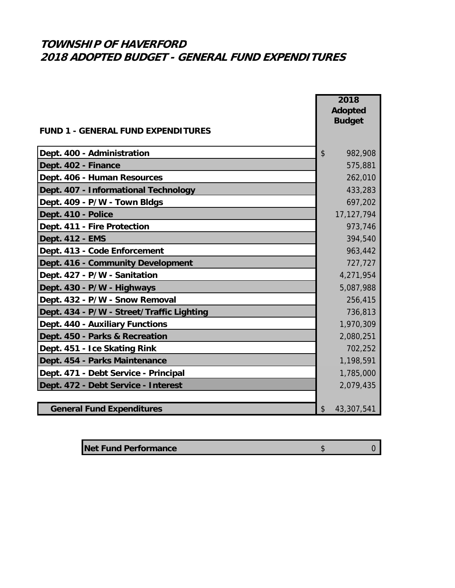|                                           | 2018             |
|-------------------------------------------|------------------|
|                                           | <b>Adopted</b>   |
| <b>FUND 1 - GENERAL FUND EXPENDITURES</b> | <b>Budget</b>    |
|                                           |                  |
| Dept. 400 - Administration                | \$<br>982,908    |
| Dept. 402 - Finance                       | 575,881          |
| Dept. 406 - Human Resources               | 262,010          |
| Dept. 407 - Informational Technology      | 433,283          |
| Dept. 409 - P/W - Town Bldgs              | 697,202          |
| Dept. 410 - Police                        | 17, 127, 794     |
| Dept. 411 - Fire Protection               | 973,746          |
| Dept. 412 - EMS                           | 394,540          |
| Dept. 413 - Code Enforcement              | 963,442          |
| Dept. 416 - Community Development         | 727,727          |
| Dept. 427 - P/W - Sanitation              | 4,271,954        |
| Dept. 430 - P/W - Highways                | 5,087,988        |
| Dept. 432 - P/W - Snow Removal            | 256,415          |
| Dept. 434 - P/W - Street/Traffic Lighting | 736,813          |
| Dept. 440 - Auxiliary Functions           | 1,970,309        |
| Dept. 450 - Parks & Recreation            | 2,080,251        |
| Dept. 451 - Ice Skating Rink              | 702,252          |
| Dept. 454 - Parks Maintenance             | 1,198,591        |
| Dept. 471 - Debt Service - Principal      | 1,785,000        |
| Dept. 472 - Debt Service - Interest       | 2,079,435        |
|                                           |                  |
| <b>General Fund Expenditures</b>          | 43,307,541<br>\$ |

| <b>Net Fund Performance</b> |  |
|-----------------------------|--|
|                             |  |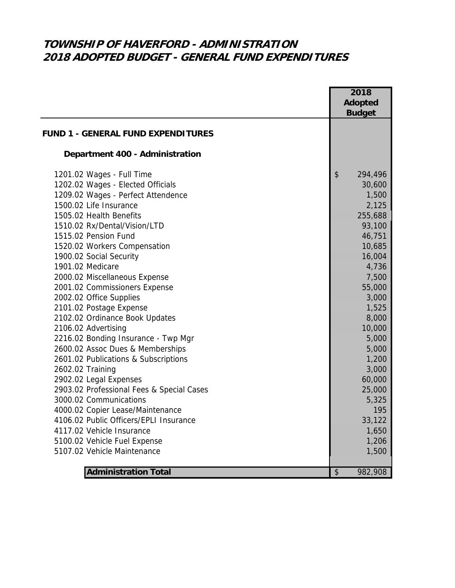# **TOWNSHIP OF HAVERFORD - ADMINISTRATION 2018 ADOPTED BUDGET - GENERAL FUND EXPENDITURES**

|                                           | 2018           |
|-------------------------------------------|----------------|
|                                           | <b>Adopted</b> |
|                                           | <b>Budget</b>  |
|                                           |                |
| <b>FUND 1 - GENERAL FUND EXPENDITURES</b> |                |
| Department 400 - Administration           |                |
| 1201.02 Wages - Full Time                 | \$<br>294,496  |
| 1202.02 Wages - Elected Officials         | 30,600         |
| 1209.02 Wages - Perfect Attendence        | 1,500          |
| 1500.02 Life Insurance                    | 2,125          |
| 1505.02 Health Benefits                   | 255,688        |
| 1510.02 Rx/Dental/Vision/LTD              | 93,100         |
| 1515.02 Pension Fund                      | 46,751         |
| 1520.02 Workers Compensation              | 10,685         |
| 1900.02 Social Security                   | 16,004         |
| 1901.02 Medicare                          | 4,736          |
| 2000.02 Miscellaneous Expense             | 7,500          |
| 2001.02 Commissioners Expense             | 55,000         |
| 2002.02 Office Supplies                   | 3,000          |
| 2101.02 Postage Expense                   | 1,525          |
| 2102.02 Ordinance Book Updates            | 8,000          |
| 2106.02 Advertising                       | 10,000         |
| 2216.02 Bonding Insurance - Twp Mgr       | 5,000          |
| 2600.02 Assoc Dues & Memberships          | 5,000          |
| 2601.02 Publications & Subscriptions      | 1,200          |
| 2602.02 Training                          | 3,000          |
| 2902.02 Legal Expenses                    | 60,000         |
| 2903.02 Professional Fees & Special Cases | 25,000         |
| 3000.02 Communications                    | 5,325          |
| 4000.02 Copier Lease/Maintenance          | 195            |
| 4106.02 Public Officers/EPLI Insurance    | 33,122         |
| 4117.02 Vehicle Insurance                 | 1,650          |
| 5100.02 Vehicle Fuel Expense              | 1,206          |
| 5107.02 Vehicle Maintenance               | 1,500          |
|                                           |                |
| <b>Administration Total</b>               | \$<br>982,908  |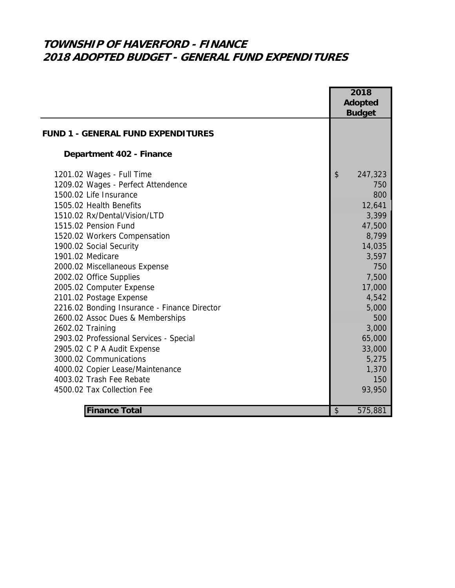# **TOWNSHIP OF HAVERFORD - FINANCE 2018 ADOPTED BUDGET - GENERAL FUND EXPENDITURES**

|                                              | 2018                                 |
|----------------------------------------------|--------------------------------------|
|                                              | <b>Adopted</b>                       |
|                                              | <b>Budget</b>                        |
| <b>FUND 1 - GENERAL FUND EXPENDITURES</b>    |                                      |
|                                              |                                      |
| Department 402 - Finance                     |                                      |
| 1201.02 Wages - Full Time                    | $\boldsymbol{\mathsf{S}}$<br>247,323 |
| 1209.02 Wages - Perfect Attendence           | 750                                  |
| 1500.02 Life Insurance                       | 800                                  |
| 1505.02 Health Benefits                      | 12,641                               |
| 1510.02 Rx/Dental/Vision/LTD                 | 3,399                                |
| 1515.02 Pension Fund                         | 47,500                               |
| 1520.02 Workers Compensation                 | 8,799                                |
| 1900.02 Social Security                      | 14,035                               |
| 1901.02 Medicare                             | 3,597                                |
| 2000.02 Miscellaneous Expense                | 750                                  |
| 2002.02 Office Supplies                      | 7,500                                |
| 2005.02 Computer Expense                     | 17,000                               |
| 2101.02 Postage Expense                      | 4,542                                |
| 2216.02 Bonding Insurance - Finance Director | 5,000                                |
| 2600.02 Assoc Dues & Memberships             | 500                                  |
| 2602.02 Training                             | 3,000                                |
| 2903.02 Professional Services - Special      | 65,000                               |
| 2905.02 C P A Audit Expense                  | 33,000                               |
| 3000.02 Communications                       | 5,275                                |
| 4000.02 Copier Lease/Maintenance             | 1,370                                |
| 4003.02 Trash Fee Rebate                     | 150                                  |
| 4500.02 Tax Collection Fee                   | 93,950                               |
|                                              |                                      |
| <b>Finance Total</b>                         | \$<br>575,881                        |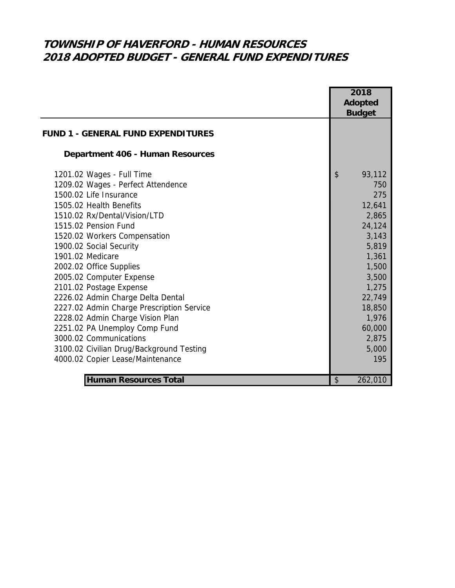## **TOWNSHIP OF HAVERFORD - HUMAN RESOURCES 2018 ADOPTED BUDGET - GENERAL FUND EXPENDITURES**

|                                           | Adopted       |
|-------------------------------------------|---------------|
|                                           |               |
|                                           | <b>Budget</b> |
| <b>FUND 1 - GENERAL FUND EXPENDITURES</b> |               |
| <b>Department 406 - Human Resources</b>   |               |
| 1201.02 Wages - Full Time                 | \$<br>93,112  |
| 1209.02 Wages - Perfect Attendence        | 750           |
| 1500.02 Life Insurance                    | 275           |
| 1505.02 Health Benefits                   | 12,641        |
| 1510.02 Rx/Dental/Vision/LTD              | 2,865         |
| 1515.02 Pension Fund                      | 24,124        |
| 1520.02 Workers Compensation              | 3,143         |
| 1900.02 Social Security                   | 5,819         |
| 1901.02 Medicare                          | 1,361         |
| 2002.02 Office Supplies                   | 1,500         |
| 2005.02 Computer Expense                  | 3,500         |
| 2101.02 Postage Expense                   | 1,275         |
| 2226.02 Admin Charge Delta Dental         | 22,749        |
| 2227.02 Admin Charge Prescription Service | 18,850        |
| 2228.02 Admin Charge Vision Plan          | 1,976         |
| 2251.02 PA Unemploy Comp Fund             | 60,000        |
| 3000.02 Communications                    | 2,875         |
| 3100.02 Civilian Drug/Background Testing  | 5,000         |
| 4000.02 Copier Lease/Maintenance          | 195           |
| <b>Human Resources Total</b>              | \$<br>262,010 |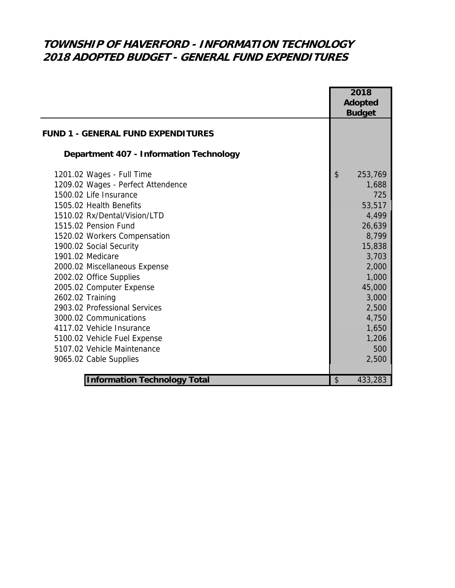## **TOWNSHIP OF HAVERFORD - INFORMATION TECHNOLOGY 2018 ADOPTED BUDGET - GENERAL FUND EXPENDITURES**

|                                                | 2018<br><b>Adopted</b><br><b>Budget</b> |
|------------------------------------------------|-----------------------------------------|
| <b>FUND 1 - GENERAL FUND EXPENDITURES</b>      |                                         |
| <b>Department 407 - Information Technology</b> |                                         |
| 1201.02 Wages - Full Time                      | \$<br>253,769                           |
| 1209.02 Wages - Perfect Attendence             | 1,688                                   |
| 1500.02 Life Insurance                         | 725                                     |
| 1505.02 Health Benefits                        | 53,517                                  |
| 1510.02 Rx/Dental/Vision/LTD                   | 4,499                                   |
| 1515.02 Pension Fund                           | 26,639                                  |
| 1520.02 Workers Compensation                   | 8,799                                   |
| 1900.02 Social Security                        | 15,838                                  |
| 1901.02 Medicare                               | 3,703                                   |
| 2000.02 Miscellaneous Expense                  | 2,000                                   |
| 2002.02 Office Supplies                        | 1,000                                   |
| 2005.02 Computer Expense                       | 45,000                                  |
| 2602.02 Training                               | 3,000                                   |
| 2903.02 Professional Services                  | 2,500                                   |
| 3000.02 Communications                         | 4,750                                   |
| 4117.02 Vehicle Insurance                      | 1,650                                   |
| 5100.02 Vehicle Fuel Expense                   | 1,206                                   |
| 5107.02 Vehicle Maintenance                    | 500                                     |
| 9065.02 Cable Supplies                         | 2,500                                   |
|                                                |                                         |
| <b>Information Technology Total</b>            | \$<br>433,283                           |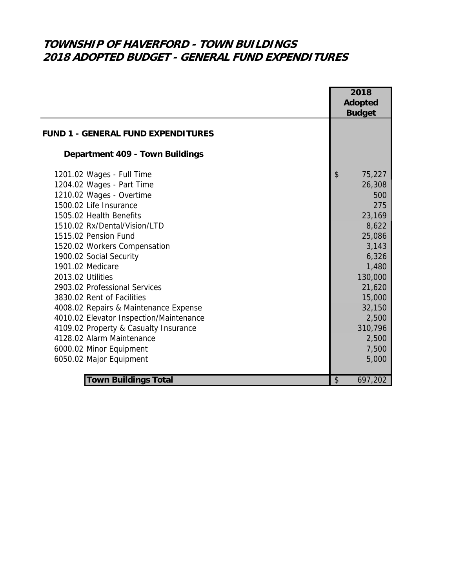# **TOWNSHIP OF HAVERFORD - TOWN BUILDINGS 2018 ADOPTED BUDGET - GENERAL FUND EXPENDITURES**

|                                           | 2018           |
|-------------------------------------------|----------------|
|                                           | <b>Adopted</b> |
|                                           | <b>Budget</b>  |
| <b>FUND 1 - GENERAL FUND EXPENDITURES</b> |                |
| Department 409 - Town Buildings           |                |
| 1201.02 Wages - Full Time                 | \$<br>75,227   |
| 1204.02 Wages - Part Time                 | 26,308         |
| 1210.02 Wages - Overtime                  | 500            |
| 1500.02 Life Insurance                    | 275            |
| 1505.02 Health Benefits                   | 23,169         |
| 1510.02 Rx/Dental/Vision/LTD              | 8,622          |
| 1515.02 Pension Fund                      | 25,086         |
| 1520.02 Workers Compensation              | 3,143          |
| 1900.02 Social Security                   | 6,326          |
| 1901.02 Medicare                          | 1,480          |
| 2013.02 Utilities                         | 130,000        |
| 2903.02 Professional Services             | 21,620         |
| 3830.02 Rent of Facilities                | 15,000         |
| 4008.02 Repairs & Maintenance Expense     | 32,150         |
| 4010.02 Elevator Inspection/Maintenance   | 2,500          |
| 4109.02 Property & Casualty Insurance     | 310,796        |
| 4128.02 Alarm Maintenance                 | 2,500          |
| 6000.02 Minor Equipment                   | 7,500          |
| 6050.02 Major Equipment                   | 5,000          |
|                                           |                |
| <b>Town Buildings Total</b>               | \$<br>697,202  |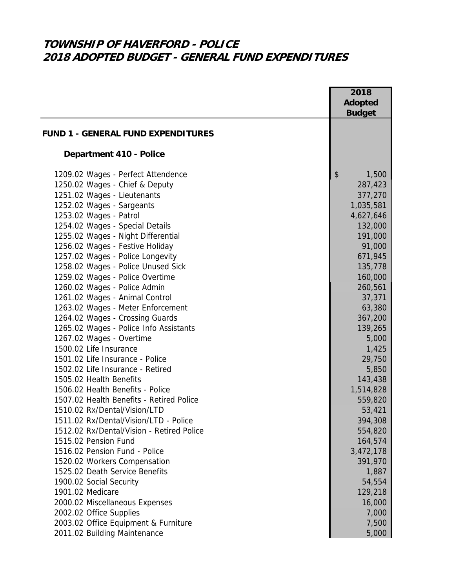## **TOWNSHIP OF HAVERFORD - POLICE 2018 ADOPTED BUDGET - GENERAL FUND EXPENDITURES**

|                                           | 2018           |
|-------------------------------------------|----------------|
|                                           | <b>Adopted</b> |
|                                           | <b>Budget</b>  |
| <b>FUND 1 - GENERAL FUND EXPENDITURES</b> |                |
|                                           |                |
| <b>Department 410 - Police</b>            |                |
| 1209.02 Wages - Perfect Attendence        | \$<br>1,500    |
| 1250.02 Wages - Chief & Deputy            | 287,423        |
| 1251.02 Wages - Lieutenants               | 377,270        |
| 1252.02 Wages - Sargeants                 | 1,035,581      |
| 1253.02 Wages - Patrol                    | 4,627,646      |
| 1254.02 Wages - Special Details           | 132,000        |
| 1255.02 Wages - Night Differential        | 191,000        |
| 1256.02 Wages - Festive Holiday           | 91,000         |
| 1257.02 Wages - Police Longevity          | 671,945        |
| 1258.02 Wages - Police Unused Sick        | 135,778        |
| 1259.02 Wages - Police Overtime           | 160,000        |
| 1260.02 Wages - Police Admin              | 260,561        |
| 1261.02 Wages - Animal Control            | 37,371         |
| 1263.02 Wages - Meter Enforcement         | 63,380         |
| 1264.02 Wages - Crossing Guards           | 367,200        |
| 1265.02 Wages - Police Info Assistants    | 139,265        |
| 1267.02 Wages - Overtime                  | 5,000          |
| 1500.02 Life Insurance                    | 1,425          |
| 1501.02 Life Insurance - Police           | 29,750         |
| 1502.02 Life Insurance - Retired          | 5,850          |
| 1505.02 Health Benefits                   | 143,438        |
| 1506.02 Health Benefits - Police          | 1,514,828      |
| 1507.02 Health Benefits - Retired Police  | 559,820        |
| 1510.02 Rx/Dental/Vision/LTD              | 53,421         |
| 1511.02 Rx/Dental/Vision/LTD - Police     | 394,308        |
| 1512.02 Rx/Dental/Vision - Retired Police | 554,820        |
| 1515.02 Pension Fund                      | 164,574        |
| 1516.02 Pension Fund - Police             | 3,472,178      |
| 1520.02 Workers Compensation              | 391,970        |
| 1525.02 Death Service Benefits            | 1,887          |
| 1900.02 Social Security                   | 54,554         |
| 1901.02 Medicare                          | 129,218        |
| 2000.02 Miscellaneous Expenses            | 16,000         |
| 2002.02 Office Supplies                   | 7,000          |
| 2003.02 Office Equipment & Furniture      | 7,500          |
| 2011.02 Building Maintenance              | 5,000          |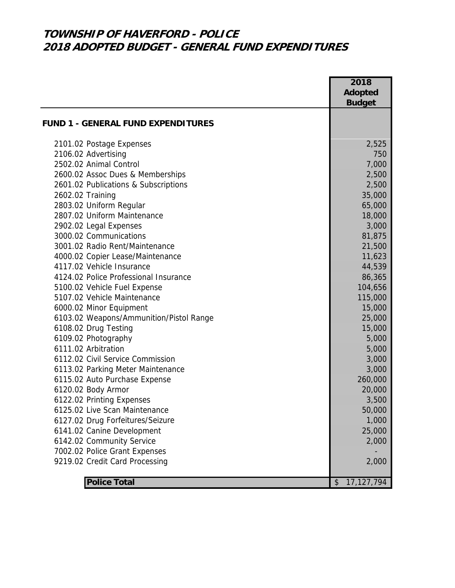### **TOWNSHIP OF HAVERFORD - POLICE 2018 ADOPTED BUDGET - GENERAL FUND EXPENDITURES**

|                                           | 2018                            |
|-------------------------------------------|---------------------------------|
|                                           | <b>Adopted</b><br><b>Budget</b> |
|                                           |                                 |
| <b>FUND 1 - GENERAL FUND EXPENDITURES</b> |                                 |
| 2101.02 Postage Expenses                  | 2,525                           |
| 2106.02 Advertising                       | 750                             |
| 2502.02 Animal Control                    | 7,000                           |
| 2600.02 Assoc Dues & Memberships          | 2,500                           |
| 2601.02 Publications & Subscriptions      | 2,500                           |
| 2602.02 Training                          | 35,000                          |
| 2803.02 Uniform Regular                   | 65,000                          |
| 2807.02 Uniform Maintenance               | 18,000                          |
| 2902.02 Legal Expenses                    | 3,000                           |
| 3000.02 Communications                    | 81,875                          |
| 3001.02 Radio Rent/Maintenance            | 21,500                          |
| 4000.02 Copier Lease/Maintenance          | 11,623                          |
| 4117.02 Vehicle Insurance                 | 44,539                          |
| 4124.02 Police Professional Insurance     | 86,365                          |
| 5100.02 Vehicle Fuel Expense              | 104,656                         |
| 5107.02 Vehicle Maintenance               | 115,000                         |
| 6000.02 Minor Equipment                   | 15,000                          |
| 6103.02 Weapons/Ammunition/Pistol Range   | 25,000                          |
| 6108.02 Drug Testing                      | 15,000                          |
| 6109.02 Photography                       | 5,000                           |
| 6111.02 Arbitration                       | 5,000                           |
| 6112.02 Civil Service Commission          | 3,000                           |
| 6113.02 Parking Meter Maintenance         | 3,000                           |
| 6115.02 Auto Purchase Expense             | 260,000                         |
| 6120.02 Body Armor                        | 20,000                          |
| 6122.02 Printing Expenses                 | 3,500                           |
| 6125.02 Live Scan Maintenance             | 50,000                          |
| 6127.02 Drug Forfeitures/Seizure          | 1,000                           |
| 6141.02 Canine Development                | 25,000                          |
| 6142.02 Community Service                 | 2,000                           |
| 7002.02 Police Grant Expenses             |                                 |
| 9219.02 Credit Card Processing            | 2,000                           |
| <b>Police Total</b>                       | 17,127,794<br>\$                |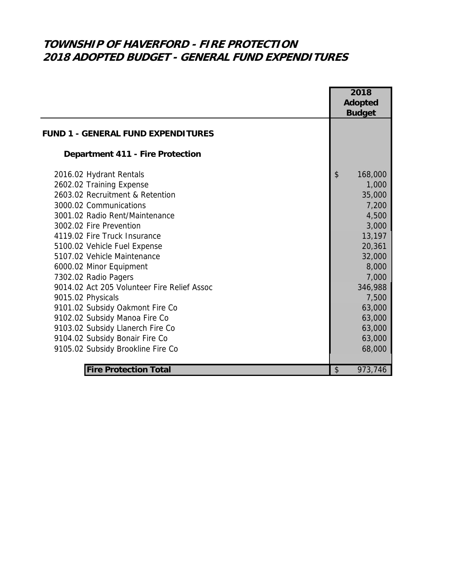# **TOWNSHIP OF HAVERFORD - FIRE PROTECTION 2018 ADOPTED BUDGET - GENERAL FUND EXPENDITURES**

|                                                                                                                                        |                        | 2018<br><b>Adopted</b><br><b>Budget</b> |  |
|----------------------------------------------------------------------------------------------------------------------------------------|------------------------|-----------------------------------------|--|
| <b>FUND 1 - GENERAL FUND EXPENDITURES</b>                                                                                              |                        |                                         |  |
| <b>Department 411 - Fire Protection</b>                                                                                                |                        |                                         |  |
| 2016.02 Hydrant Rentals<br>2602.02 Training Expense<br>2603.02 Recruitment & Retention<br>3000.02 Communications                       | $\boldsymbol{\hat{z}}$ | 168,000<br>1,000<br>35,000<br>7,200     |  |
| 3001.02 Radio Rent/Maintenance<br>3002.02 Fire Prevention<br>4119.02 Fire Truck Insurance                                              |                        | 4,500<br>3,000<br>13,197                |  |
| 5100.02 Vehicle Fuel Expense<br>5107.02 Vehicle Maintenance<br>6000.02 Minor Equipment                                                 |                        | 20,361<br>32,000<br>8,000               |  |
| 7302.02 Radio Pagers<br>9014.02 Act 205 Volunteer Fire Relief Assoc<br>9015.02 Physicals                                               |                        | 7,000<br>346,988<br>7,500               |  |
| 9101.02 Subsidy Oakmont Fire Co<br>9102.02 Subsidy Manoa Fire Co<br>9103.02 Subsidy Llanerch Fire Co<br>9104.02 Subsidy Bonair Fire Co |                        | 63,000<br>63,000<br>63,000<br>63,000    |  |
| 9105.02 Subsidy Brookline Fire Co<br><b>Fire Protection Total</b>                                                                      | \$                     | 68,000<br>973,746                       |  |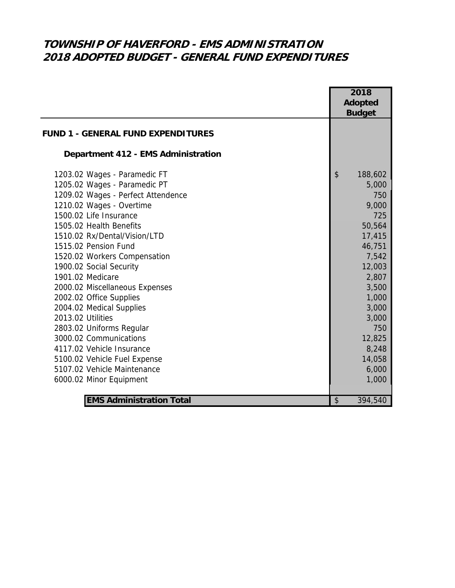## **TOWNSHIP OF HAVERFORD - EMS ADMINISTRATION 2018 ADOPTED BUDGET - GENERAL FUND EXPENDITURES**

|                                           |                           | 2018           |  |
|-------------------------------------------|---------------------------|----------------|--|
|                                           |                           | <b>Adopted</b> |  |
|                                           |                           | <b>Budget</b>  |  |
| <b>FUND 1 - GENERAL FUND EXPENDITURES</b> |                           |                |  |
| Department 412 - EMS Administration       |                           |                |  |
| 1203.02 Wages - Paramedic FT              | $\boldsymbol{\mathsf{S}}$ | 188,602        |  |
| 1205.02 Wages - Paramedic PT              |                           | 5,000          |  |
| 1209.02 Wages - Perfect Attendence        |                           | 750            |  |
| 1210.02 Wages - Overtime                  |                           | 9,000          |  |
| 1500.02 Life Insurance                    |                           | 725            |  |
| 1505.02 Health Benefits                   |                           | 50,564         |  |
| 1510.02 Rx/Dental/Vision/LTD              |                           | 17,415         |  |
| 1515.02 Pension Fund                      |                           | 46,751         |  |
| 1520.02 Workers Compensation              |                           | 7,542          |  |
| 1900.02 Social Security                   |                           | 12,003         |  |
| 1901.02 Medicare                          |                           | 2,807          |  |
| 2000.02 Miscellaneous Expenses            |                           | 3,500          |  |
| 2002.02 Office Supplies                   |                           | 1,000          |  |
| 2004.02 Medical Supplies                  |                           | 3,000          |  |
| 2013.02 Utilities                         |                           | 3,000          |  |
| 2803.02 Uniforms Regular                  |                           | 750            |  |
| 3000.02 Communications                    |                           | 12,825         |  |
| 4117.02 Vehicle Insurance                 |                           | 8,248          |  |
| 5100.02 Vehicle Fuel Expense              |                           | 14,058         |  |
| 5107.02 Vehicle Maintenance               |                           | 6,000          |  |
| 6000.02 Minor Equipment                   |                           | 1,000          |  |
|                                           |                           |                |  |
| <b>EMS Administration Total</b>           | $\frac{1}{2}$             | 394,540        |  |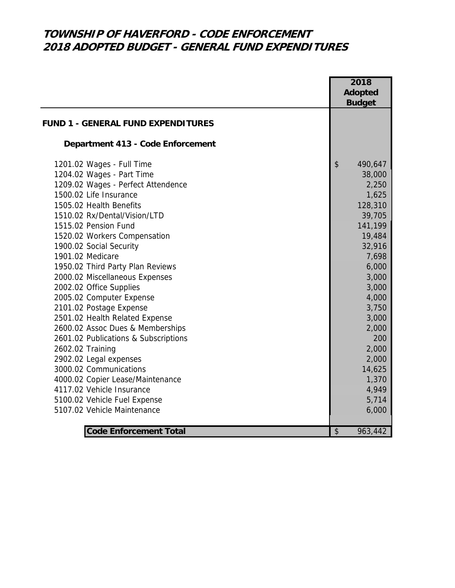## **TOWNSHIP OF HAVERFORD - CODE ENFORCEMENT 2018 ADOPTED BUDGET - GENERAL FUND EXPENDITURES**

|                                           | 2018<br>Adopted<br><b>Budget</b>     |
|-------------------------------------------|--------------------------------------|
| <b>FUND 1 - GENERAL FUND EXPENDITURES</b> |                                      |
| Department 413 - Code Enforcement         |                                      |
| 1201.02 Wages - Full Time                 | $\boldsymbol{\mathsf{S}}$<br>490,647 |
| 1204.02 Wages - Part Time                 | 38,000                               |
| 1209.02 Wages - Perfect Attendence        | 2,250                                |
| 1500.02 Life Insurance                    | 1,625                                |
| 1505.02 Health Benefits                   | 128,310                              |
| 1510.02 Rx/Dental/Vision/LTD              | 39,705                               |
| 1515.02 Pension Fund                      | 141,199                              |
| 1520.02 Workers Compensation              | 19,484                               |
| 1900.02 Social Security                   | 32,916                               |
| 1901.02 Medicare                          | 7,698                                |
| 1950.02 Third Party Plan Reviews          | 6,000                                |
| 2000.02 Miscellaneous Expenses            | 3,000                                |
| 2002.02 Office Supplies                   | 3,000                                |
| 2005.02 Computer Expense                  | 4,000                                |
| 2101.02 Postage Expense                   | 3,750                                |
| 2501.02 Health Related Expense            | 3,000                                |
| 2600.02 Assoc Dues & Memberships          | 2,000                                |
| 2601.02 Publications & Subscriptions      | 200                                  |
| 2602.02 Training                          | 2,000                                |
| 2902.02 Legal expenses                    | 2,000                                |
| 3000.02 Communications                    | 14,625                               |
| 4000.02 Copier Lease/Maintenance          | 1,370                                |
| 4117.02 Vehicle Insurance                 | 4,949                                |
| 5100.02 Vehicle Fuel Expense              | 5,714                                |
| 5107.02 Vehicle Maintenance               | 6,000                                |
| <b>Code Enforcement Total</b>             | \$<br>963,442                        |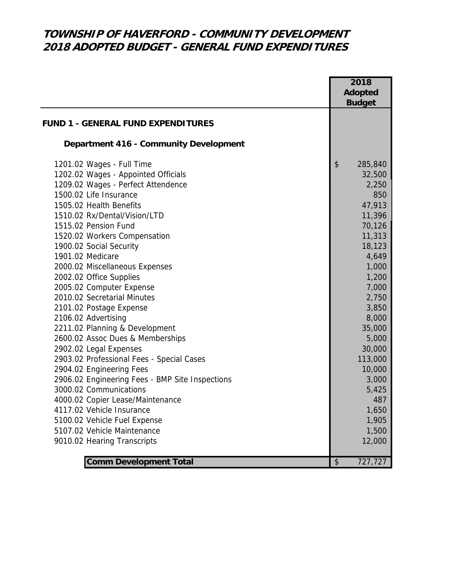## **TOWNSHIP OF HAVERFORD - COMMUNITY DEVELOPMENT 2018 ADOPTED BUDGET - GENERAL FUND EXPENDITURES**

|                                                 | 2018 |                |
|-------------------------------------------------|------|----------------|
|                                                 |      | <b>Adopted</b> |
|                                                 |      | <b>Budget</b>  |
| <b>FUND 1 - GENERAL FUND EXPENDITURES</b>       |      |                |
|                                                 |      |                |
| Department 416 - Community Development          |      |                |
| 1201.02 Wages - Full Time                       | \$   | 285,840        |
| 1202.02 Wages - Appointed Officials             |      | 32,500         |
| 1209.02 Wages - Perfect Attendence              |      | 2,250          |
| 1500.02 Life Insurance                          |      | 850            |
| 1505.02 Health Benefits                         |      | 47,913         |
| 1510.02 Rx/Dental/Vision/LTD                    |      | 11,396         |
| 1515.02 Pension Fund                            |      | 70,126         |
| 1520.02 Workers Compensation                    |      | 11,313         |
| 1900.02 Social Security                         |      | 18,123         |
| 1901.02 Medicare                                |      | 4,649          |
| 2000.02 Miscellaneous Expenses                  |      | 1,000          |
| 2002.02 Office Supplies                         |      | 1,200          |
| 2005.02 Computer Expense                        |      | 7,000          |
| 2010.02 Secretarial Minutes                     |      | 2,750          |
| 2101.02 Postage Expense                         |      | 3,850          |
| 2106.02 Advertising                             |      | 8,000          |
| 2211.02 Planning & Development                  |      | 35,000         |
| 2600.02 Assoc Dues & Memberships                |      | 5,000          |
| 2902.02 Legal Expenses                          |      | 30,000         |
| 2903.02 Professional Fees - Special Cases       |      | 113,000        |
| 2904.02 Engineering Fees                        |      | 10,000         |
| 2906.02 Engineering Fees - BMP Site Inspections |      | 3,000          |
| 3000.02 Communications                          |      | 5,425          |
| 4000.02 Copier Lease/Maintenance                |      | 487            |
| 4117.02 Vehicle Insurance                       |      | 1,650          |
| 5100.02 Vehicle Fuel Expense                    |      | 1,905          |
| 5107.02 Vehicle Maintenance                     |      | 1,500          |
| 9010.02 Hearing Transcripts                     |      | 12,000         |
| <b>Comm Development Total</b>                   | \$   | 727,727        |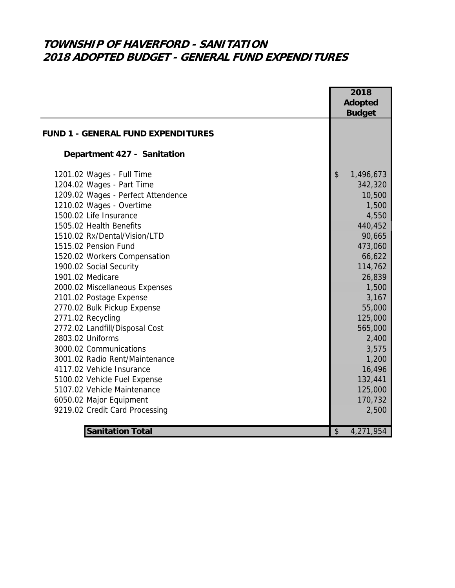# **TOWNSHIP OF HAVERFORD - SANITATION 2018 ADOPTED BUDGET - GENERAL FUND EXPENDITURES**

|                                                    | 2018<br><b>Adopted</b><br><b>Budget</b> |  |
|----------------------------------------------------|-----------------------------------------|--|
| <b>FUND 1 - GENERAL FUND EXPENDITURES</b>          |                                         |  |
| Department 427 - Sanitation                        |                                         |  |
| 1201.02 Wages - Full Time                          | \$<br>1,496,673                         |  |
| 1204.02 Wages - Part Time                          | 342,320                                 |  |
| 1209.02 Wages - Perfect Attendence                 | 10,500                                  |  |
| 1210.02 Wages - Overtime                           | 1,500                                   |  |
| 1500.02 Life Insurance                             | 4,550                                   |  |
| 1505.02 Health Benefits                            | 440,452                                 |  |
| 1510.02 Rx/Dental/Vision/LTD                       | 90,665                                  |  |
| 1515.02 Pension Fund                               | 473,060                                 |  |
| 1520.02 Workers Compensation                       | 66,622                                  |  |
| 1900.02 Social Security                            | 114,762                                 |  |
| 1901.02 Medicare                                   | 26,839                                  |  |
| 2000.02 Miscellaneous Expenses                     | 1,500                                   |  |
| 2101.02 Postage Expense                            | 3,167                                   |  |
| 2770.02 Bulk Pickup Expense                        | 55,000                                  |  |
| 2771.02 Recycling                                  | 125,000                                 |  |
| 2772.02 Landfill/Disposal Cost<br>2803.02 Uniforms | 565,000<br>2,400                        |  |
| 3000.02 Communications                             | 3,575                                   |  |
| 3001.02 Radio Rent/Maintenance                     | 1,200                                   |  |
| 4117.02 Vehicle Insurance                          | 16,496                                  |  |
| 5100.02 Vehicle Fuel Expense                       | 132,441                                 |  |
| 5107.02 Vehicle Maintenance                        | 125,000                                 |  |
| 6050.02 Major Equipment                            | 170,732                                 |  |
| 9219.02 Credit Card Processing                     | 2,500                                   |  |
|                                                    |                                         |  |
| <b>Sanitation Total</b>                            | \$<br>4,271,954                         |  |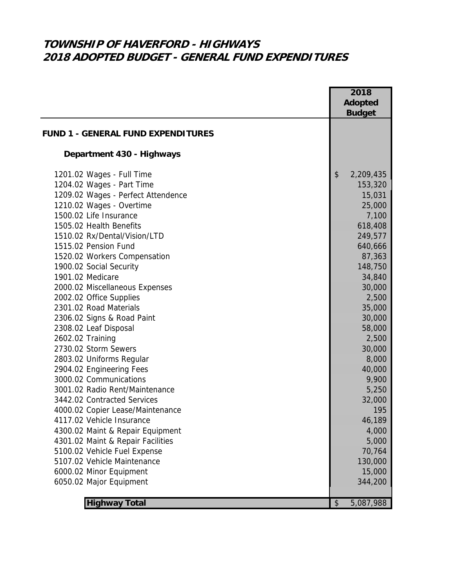# **TOWNSHIP OF HAVERFORD - HIGHWAYS 2018 ADOPTED BUDGET - GENERAL FUND EXPENDITURES**

|                                           | 2018            |
|-------------------------------------------|-----------------|
|                                           | Adopted         |
|                                           | <b>Budget</b>   |
|                                           |                 |
| <b>FUND 1 - GENERAL FUND EXPENDITURES</b> |                 |
| Department 430 - Highways                 |                 |
| 1201.02 Wages - Full Time                 | \$<br>2,209,435 |
| 1204.02 Wages - Part Time                 | 153,320         |
| 1209.02 Wages - Perfect Attendence        | 15,031          |
| 1210.02 Wages - Overtime                  | 25,000          |
| 1500.02 Life Insurance                    | 7,100           |
| 1505.02 Health Benefits                   | 618,408         |
| 1510.02 Rx/Dental/Vision/LTD              | 249,577         |
| 1515.02 Pension Fund                      | 640,666         |
| 1520.02 Workers Compensation              | 87,363          |
| 1900.02 Social Security                   | 148,750         |
| 1901.02 Medicare                          | 34,840          |
| 2000.02 Miscellaneous Expenses            | 30,000          |
| 2002.02 Office Supplies                   | 2,500           |
| 2301.02 Road Materials                    | 35,000          |
| 2306.02 Signs & Road Paint                | 30,000          |
| 2308.02 Leaf Disposal                     | 58,000          |
| 2602.02 Training                          | 2,500           |
| 2730.02 Storm Sewers                      | 30,000          |
| 2803.02 Uniforms Regular                  | 8,000           |
| 2904.02 Engineering Fees                  | 40,000          |
| 3000.02 Communications                    | 9,900           |
| 3001.02 Radio Rent/Maintenance            | 5,250           |
| 3442.02 Contracted Services               | 32,000          |
| 4000.02 Copier Lease/Maintenance          | 195             |
| 4117.02 Vehicle Insurance                 | 46,189          |
| 4300.02 Maint & Repair Equipment          | 4,000           |
| 4301.02 Maint & Repair Facilities         | 5,000           |
| 5100.02 Vehicle Fuel Expense              | 70,764          |
| 5107.02 Vehicle Maintenance               | 130,000         |
| 6000.02 Minor Equipment                   | 15,000          |
| 6050.02 Major Equipment                   | 344,200         |
|                                           |                 |
| <b>Highway Total</b>                      | 5,087,988<br>\$ |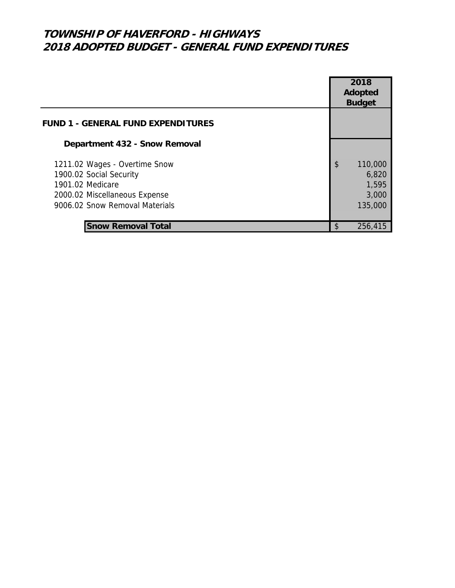### **TOWNSHIP OF HAVERFORD - HIGHWAYS 2018 ADOPTED BUDGET - GENERAL FUND EXPENDITURES**

|                                                                                                                                                 | 2018<br>Adopted<br><b>Budget</b>                    |
|-------------------------------------------------------------------------------------------------------------------------------------------------|-----------------------------------------------------|
| <b>FUND 1 - GENERAL FUND EXPENDITURES</b>                                                                                                       |                                                     |
| Department 432 - Snow Removal                                                                                                                   |                                                     |
| 1211.02 Wages - Overtime Snow<br>1900.02 Social Security<br>1901.02 Medicare<br>2000.02 Miscellaneous Expense<br>9006.02 Snow Removal Materials | \$<br>110,000<br>6,820<br>1,595<br>3,000<br>135,000 |
| <b>Snow Removal Total</b>                                                                                                                       | \$<br>256,415                                       |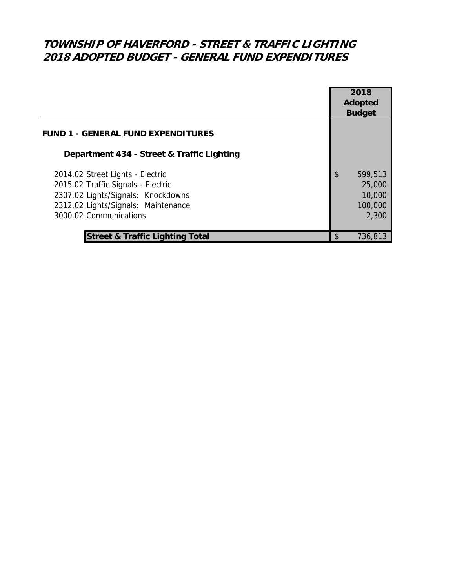## **TOWNSHIP OF HAVERFORD - STREET & TRAFFIC LIGHTING 2018 ADOPTED BUDGET - GENERAL FUND EXPENDITURES**

|                                                                                                                                                                               |     | 2018<br><b>Adopted</b><br><b>Budget</b>         |  |
|-------------------------------------------------------------------------------------------------------------------------------------------------------------------------------|-----|-------------------------------------------------|--|
| <b>FUND 1 - GENERAL FUND EXPENDITURES</b>                                                                                                                                     |     |                                                 |  |
| Department 434 - Street & Traffic Lighting                                                                                                                                    |     |                                                 |  |
| 2014.02 Street Lights - Electric<br>2015.02 Traffic Signals - Electric<br>2307.02 Lights/Signals: Knockdowns<br>2312.02 Lights/Signals: Maintenance<br>3000.02 Communications | \$  | 599,513<br>25,000<br>10,000<br>100,000<br>2,300 |  |
| <b>Street &amp; Traffic Lighting Total</b>                                                                                                                                    | \$. | 736,813                                         |  |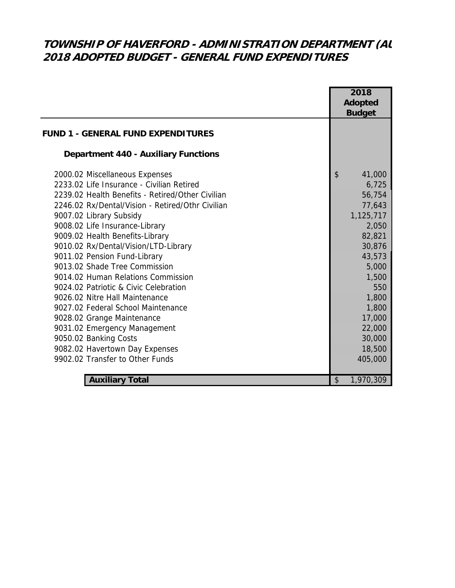# **TOWNSHIP OF HAVERFORD - ADMINISTRATION DEPARTMENT (AU 2018 ADOPTED BUDGET - GENERAL FUND EXPENDITURES**

|                                                  | 2018            |
|--------------------------------------------------|-----------------|
|                                                  | <b>Adopted</b>  |
|                                                  | <b>Budget</b>   |
| <b>FUND 1 - GENERAL FUND EXPENDITURES</b>        |                 |
| <b>Department 440 - Auxiliary Functions</b>      |                 |
| 2000.02 Miscellaneous Expenses                   | \$<br>41,000    |
| 2233.02 Life Insurance - Civilian Retired        | 6,725           |
| 2239.02 Health Benefits - Retired/Other Civilian | 56,754          |
| 2246.02 Rx/Dental/Vision - Retired/Othr Civilian | 77,643          |
| 9007.02 Library Subsidy                          | 1,125,717       |
| 9008.02 Life Insurance-Library                   | 2,050           |
| 9009.02 Health Benefits-Library                  | 82,821          |
| 9010.02 Rx/Dental/Vision/LTD-Library             | 30,876          |
| 9011.02 Pension Fund-Library                     | 43,573          |
| 9013.02 Shade Tree Commission                    | 5,000           |
| 9014.02 Human Relations Commission               | 1,500           |
| 9024.02 Patriotic & Civic Celebration            | 550             |
| 9026.02 Nitre Hall Maintenance                   | 1,800           |
| 9027.02 Federal School Maintenance               | 1,800           |
| 9028.02 Grange Maintenance                       | 17,000          |
| 9031.02 Emergency Management                     | 22,000          |
| 9050.02 Banking Costs                            | 30,000          |
| 9082.02 Havertown Day Expenses                   | 18,500          |
| 9902.02 Transfer to Other Funds                  | 405,000         |
|                                                  |                 |
| <b>Auxiliary Total</b>                           | \$<br>1,970,309 |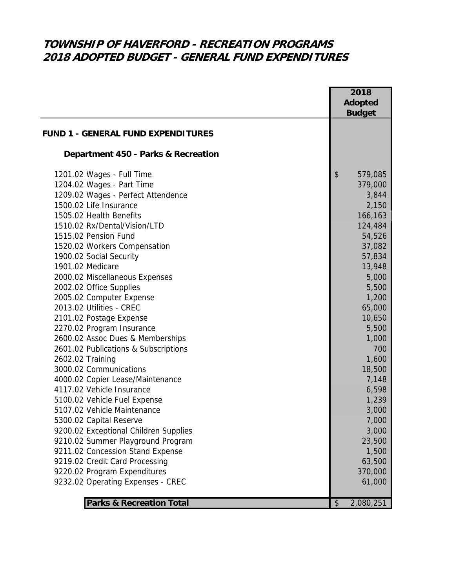## **TOWNSHIP OF HAVERFORD - RECREATION PROGRAMS 2018 ADOPTED BUDGET - GENERAL FUND EXPENDITURES**

| <b>Adopted</b><br><b>Budget</b><br><b>FUND 1 - GENERAL FUND EXPENDITURES</b><br>Department 450 - Parks & Recreation<br>\$<br>1201.02 Wages - Full Time<br>579,085<br>1204.02 Wages - Part Time<br>379,000<br>1209.02 Wages - Perfect Attendence<br>3,844<br>1500.02 Life Insurance<br>2,150<br>1505.02 Health Benefits<br>166,163<br>1510.02 Rx/Dental/Vision/LTD<br>124,484<br>1515.02 Pension Fund<br>54,526<br>1520.02 Workers Compensation<br>37,082<br>1900.02 Social Security<br>57,834<br>13,948<br>1901.02 Medicare<br>2000.02 Miscellaneous Expenses<br>5,000<br>2002.02 Office Supplies<br>5,500<br>2005.02 Computer Expense<br>1,200<br>2013.02 Utilities - CREC<br>65,000<br>10,650<br>2101.02 Postage Expense<br>2270.02 Program Insurance<br>5,500<br>2600.02 Assoc Dues & Memberships<br>1,000<br>2601.02 Publications & Subscriptions<br>700<br>2602.02 Training<br>1,600<br>3000.02 Communications<br>18,500<br>4000.02 Copier Lease/Maintenance<br>7,148<br>4117.02 Vehicle Insurance<br>6,598<br>5100.02 Vehicle Fuel Expense<br>1,239<br>5107.02 Vehicle Maintenance<br>3,000<br>7,000<br>5300.02 Capital Reserve<br>9200.02 Exceptional Children Supplies<br>3,000<br>23,500<br>9210.02 Summer Playground Program<br>9211.02 Concession Stand Expense<br>1,500<br>9219.02 Credit Card Processing<br>63,500<br>370,000<br>9220.02 Program Expenditures<br>9232.02 Operating Expenses - CREC<br>61,000 |  | 2018 |
|---------------------------------------------------------------------------------------------------------------------------------------------------------------------------------------------------------------------------------------------------------------------------------------------------------------------------------------------------------------------------------------------------------------------------------------------------------------------------------------------------------------------------------------------------------------------------------------------------------------------------------------------------------------------------------------------------------------------------------------------------------------------------------------------------------------------------------------------------------------------------------------------------------------------------------------------------------------------------------------------------------------------------------------------------------------------------------------------------------------------------------------------------------------------------------------------------------------------------------------------------------------------------------------------------------------------------------------------------------------------------------------------------------------------------|--|------|
|                                                                                                                                                                                                                                                                                                                                                                                                                                                                                                                                                                                                                                                                                                                                                                                                                                                                                                                                                                                                                                                                                                                                                                                                                                                                                                                                                                                                                           |  |      |
|                                                                                                                                                                                                                                                                                                                                                                                                                                                                                                                                                                                                                                                                                                                                                                                                                                                                                                                                                                                                                                                                                                                                                                                                                                                                                                                                                                                                                           |  |      |
|                                                                                                                                                                                                                                                                                                                                                                                                                                                                                                                                                                                                                                                                                                                                                                                                                                                                                                                                                                                                                                                                                                                                                                                                                                                                                                                                                                                                                           |  |      |
|                                                                                                                                                                                                                                                                                                                                                                                                                                                                                                                                                                                                                                                                                                                                                                                                                                                                                                                                                                                                                                                                                                                                                                                                                                                                                                                                                                                                                           |  |      |
|                                                                                                                                                                                                                                                                                                                                                                                                                                                                                                                                                                                                                                                                                                                                                                                                                                                                                                                                                                                                                                                                                                                                                                                                                                                                                                                                                                                                                           |  |      |
|                                                                                                                                                                                                                                                                                                                                                                                                                                                                                                                                                                                                                                                                                                                                                                                                                                                                                                                                                                                                                                                                                                                                                                                                                                                                                                                                                                                                                           |  |      |
|                                                                                                                                                                                                                                                                                                                                                                                                                                                                                                                                                                                                                                                                                                                                                                                                                                                                                                                                                                                                                                                                                                                                                                                                                                                                                                                                                                                                                           |  |      |
|                                                                                                                                                                                                                                                                                                                                                                                                                                                                                                                                                                                                                                                                                                                                                                                                                                                                                                                                                                                                                                                                                                                                                                                                                                                                                                                                                                                                                           |  |      |
|                                                                                                                                                                                                                                                                                                                                                                                                                                                                                                                                                                                                                                                                                                                                                                                                                                                                                                                                                                                                                                                                                                                                                                                                                                                                                                                                                                                                                           |  |      |
|                                                                                                                                                                                                                                                                                                                                                                                                                                                                                                                                                                                                                                                                                                                                                                                                                                                                                                                                                                                                                                                                                                                                                                                                                                                                                                                                                                                                                           |  |      |
|                                                                                                                                                                                                                                                                                                                                                                                                                                                                                                                                                                                                                                                                                                                                                                                                                                                                                                                                                                                                                                                                                                                                                                                                                                                                                                                                                                                                                           |  |      |
|                                                                                                                                                                                                                                                                                                                                                                                                                                                                                                                                                                                                                                                                                                                                                                                                                                                                                                                                                                                                                                                                                                                                                                                                                                                                                                                                                                                                                           |  |      |
|                                                                                                                                                                                                                                                                                                                                                                                                                                                                                                                                                                                                                                                                                                                                                                                                                                                                                                                                                                                                                                                                                                                                                                                                                                                                                                                                                                                                                           |  |      |
|                                                                                                                                                                                                                                                                                                                                                                                                                                                                                                                                                                                                                                                                                                                                                                                                                                                                                                                                                                                                                                                                                                                                                                                                                                                                                                                                                                                                                           |  |      |
|                                                                                                                                                                                                                                                                                                                                                                                                                                                                                                                                                                                                                                                                                                                                                                                                                                                                                                                                                                                                                                                                                                                                                                                                                                                                                                                                                                                                                           |  |      |
|                                                                                                                                                                                                                                                                                                                                                                                                                                                                                                                                                                                                                                                                                                                                                                                                                                                                                                                                                                                                                                                                                                                                                                                                                                                                                                                                                                                                                           |  |      |
|                                                                                                                                                                                                                                                                                                                                                                                                                                                                                                                                                                                                                                                                                                                                                                                                                                                                                                                                                                                                                                                                                                                                                                                                                                                                                                                                                                                                                           |  |      |
|                                                                                                                                                                                                                                                                                                                                                                                                                                                                                                                                                                                                                                                                                                                                                                                                                                                                                                                                                                                                                                                                                                                                                                                                                                                                                                                                                                                                                           |  |      |
|                                                                                                                                                                                                                                                                                                                                                                                                                                                                                                                                                                                                                                                                                                                                                                                                                                                                                                                                                                                                                                                                                                                                                                                                                                                                                                                                                                                                                           |  |      |
|                                                                                                                                                                                                                                                                                                                                                                                                                                                                                                                                                                                                                                                                                                                                                                                                                                                                                                                                                                                                                                                                                                                                                                                                                                                                                                                                                                                                                           |  |      |
|                                                                                                                                                                                                                                                                                                                                                                                                                                                                                                                                                                                                                                                                                                                                                                                                                                                                                                                                                                                                                                                                                                                                                                                                                                                                                                                                                                                                                           |  |      |
|                                                                                                                                                                                                                                                                                                                                                                                                                                                                                                                                                                                                                                                                                                                                                                                                                                                                                                                                                                                                                                                                                                                                                                                                                                                                                                                                                                                                                           |  |      |
|                                                                                                                                                                                                                                                                                                                                                                                                                                                                                                                                                                                                                                                                                                                                                                                                                                                                                                                                                                                                                                                                                                                                                                                                                                                                                                                                                                                                                           |  |      |
|                                                                                                                                                                                                                                                                                                                                                                                                                                                                                                                                                                                                                                                                                                                                                                                                                                                                                                                                                                                                                                                                                                                                                                                                                                                                                                                                                                                                                           |  |      |
|                                                                                                                                                                                                                                                                                                                                                                                                                                                                                                                                                                                                                                                                                                                                                                                                                                                                                                                                                                                                                                                                                                                                                                                                                                                                                                                                                                                                                           |  |      |
|                                                                                                                                                                                                                                                                                                                                                                                                                                                                                                                                                                                                                                                                                                                                                                                                                                                                                                                                                                                                                                                                                                                                                                                                                                                                                                                                                                                                                           |  |      |
|                                                                                                                                                                                                                                                                                                                                                                                                                                                                                                                                                                                                                                                                                                                                                                                                                                                                                                                                                                                                                                                                                                                                                                                                                                                                                                                                                                                                                           |  |      |
|                                                                                                                                                                                                                                                                                                                                                                                                                                                                                                                                                                                                                                                                                                                                                                                                                                                                                                                                                                                                                                                                                                                                                                                                                                                                                                                                                                                                                           |  |      |
|                                                                                                                                                                                                                                                                                                                                                                                                                                                                                                                                                                                                                                                                                                                                                                                                                                                                                                                                                                                                                                                                                                                                                                                                                                                                                                                                                                                                                           |  |      |
|                                                                                                                                                                                                                                                                                                                                                                                                                                                                                                                                                                                                                                                                                                                                                                                                                                                                                                                                                                                                                                                                                                                                                                                                                                                                                                                                                                                                                           |  |      |
|                                                                                                                                                                                                                                                                                                                                                                                                                                                                                                                                                                                                                                                                                                                                                                                                                                                                                                                                                                                                                                                                                                                                                                                                                                                                                                                                                                                                                           |  |      |
|                                                                                                                                                                                                                                                                                                                                                                                                                                                                                                                                                                                                                                                                                                                                                                                                                                                                                                                                                                                                                                                                                                                                                                                                                                                                                                                                                                                                                           |  |      |
|                                                                                                                                                                                                                                                                                                                                                                                                                                                                                                                                                                                                                                                                                                                                                                                                                                                                                                                                                                                                                                                                                                                                                                                                                                                                                                                                                                                                                           |  |      |
|                                                                                                                                                                                                                                                                                                                                                                                                                                                                                                                                                                                                                                                                                                                                                                                                                                                                                                                                                                                                                                                                                                                                                                                                                                                                                                                                                                                                                           |  |      |
|                                                                                                                                                                                                                                                                                                                                                                                                                                                                                                                                                                                                                                                                                                                                                                                                                                                                                                                                                                                                                                                                                                                                                                                                                                                                                                                                                                                                                           |  |      |
|                                                                                                                                                                                                                                                                                                                                                                                                                                                                                                                                                                                                                                                                                                                                                                                                                                                                                                                                                                                                                                                                                                                                                                                                                                                                                                                                                                                                                           |  |      |
| <b>Parks &amp; Recreation Total</b><br>2,080,251<br>\$                                                                                                                                                                                                                                                                                                                                                                                                                                                                                                                                                                                                                                                                                                                                                                                                                                                                                                                                                                                                                                                                                                                                                                                                                                                                                                                                                                    |  |      |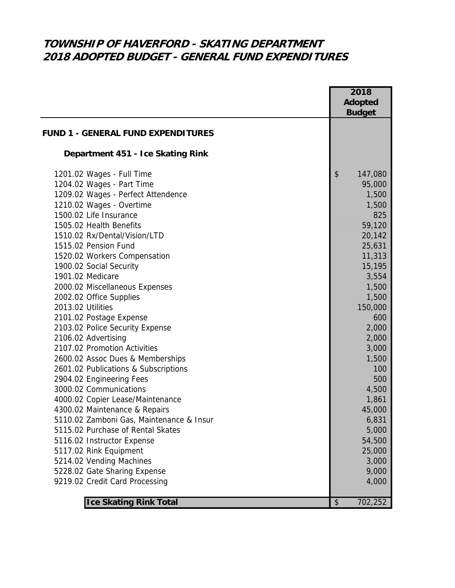## **TOWNSHIP OF HAVERFORD - SKATING DEPARTMENT 2018 ADOPTED BUDGET - GENERAL FUND EXPENDITURES**

|                                           | 2018<br>Adopted |
|-------------------------------------------|-----------------|
|                                           | <b>Budget</b>   |
| <b>FUND 1 - GENERAL FUND EXPENDITURES</b> |                 |
|                                           |                 |
| Department 451 - Ice Skating Rink         |                 |
| 1201.02 Wages - Full Time                 | \$<br>147,080   |
| 1204.02 Wages - Part Time                 | 95,000          |
| 1209.02 Wages - Perfect Attendence        | 1,500           |
| 1210.02 Wages - Overtime                  | 1,500           |
| 1500.02 Life Insurance                    | 825             |
| 1505.02 Health Benefits                   | 59,120          |
| 1510.02 Rx/Dental/Vision/LTD              | 20,142          |
| 1515.02 Pension Fund                      | 25,631          |
| 1520.02 Workers Compensation              | 11,313          |
| 1900.02 Social Security                   | 15,195          |
| 1901.02 Medicare                          | 3,554           |
| 2000.02 Miscellaneous Expenses            | 1,500           |
| 2002.02 Office Supplies                   | 1,500           |
| 2013.02 Utilities                         | 150,000         |
| 2101.02 Postage Expense                   | 600             |
| 2103.02 Police Security Expense           | 2,000           |
| 2106.02 Advertising                       | 2,000           |
| 2107.02 Promotion Activities              | 3,000           |
| 2600.02 Assoc Dues & Memberships          | 1,500           |
| 2601.02 Publications & Subscriptions      | 100             |
| 2904.02 Engineering Fees                  | 500             |
| 3000.02 Communications                    | 4,500           |
| 4000.02 Copier Lease/Maintenance          | 1,861           |
| 4300.02 Maintenance & Repairs             | 45,000          |
| 5110.02 Zamboni Gas, Maintenance & Insur  | 6,831           |
| 5115.02 Purchase of Rental Skates         | 5,000           |
| 5116.02 Instructor Expense                | 54,500          |
| 5117.02 Rink Equipment                    | 25,000          |
| 5214.02 Vending Machines                  | 3,000           |
| 5228.02 Gate Sharing Expense              | 9,000           |
| 9219.02 Credit Card Processing            | 4,000           |
| <b>Ice Skating Rink Total</b>             | 702,252<br>\$   |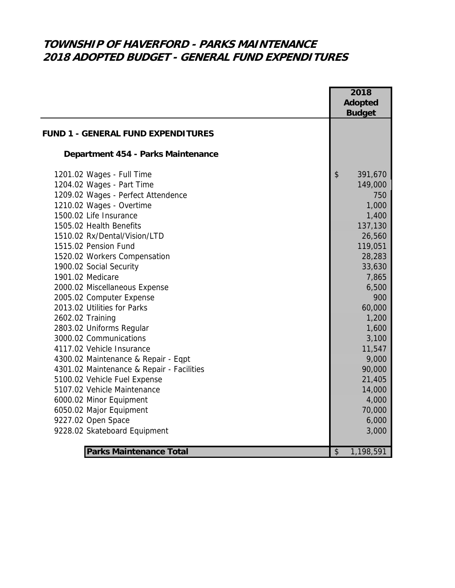# **TOWNSHIP OF HAVERFORD - PARKS MAINTENANCE 2018 ADOPTED BUDGET - GENERAL FUND EXPENDITURES**

|                                           | 2018            |  |
|-------------------------------------------|-----------------|--|
|                                           | <b>Adopted</b>  |  |
|                                           | <b>Budget</b>   |  |
|                                           |                 |  |
| <b>FUND 1 - GENERAL FUND EXPENDITURES</b> |                 |  |
| Department 454 - Parks Maintenance        |                 |  |
| 1201.02 Wages - Full Time                 | \$<br>391,670   |  |
| 1204.02 Wages - Part Time                 | 149,000         |  |
| 1209.02 Wages - Perfect Attendence        | 750             |  |
| 1210.02 Wages - Overtime                  | 1,000           |  |
| 1500.02 Life Insurance                    | 1,400           |  |
| 1505.02 Health Benefits                   | 137,130         |  |
| 1510.02 Rx/Dental/Vision/LTD              | 26,560          |  |
| 1515.02 Pension Fund                      | 119,051         |  |
| 1520.02 Workers Compensation              | 28,283          |  |
| 1900.02 Social Security                   | 33,630          |  |
| 1901.02 Medicare                          | 7,865           |  |
| 2000.02 Miscellaneous Expense             | 6,500           |  |
| 2005.02 Computer Expense                  | 900             |  |
| 2013.02 Utilities for Parks               | 60,000          |  |
| 2602.02 Training                          | 1,200           |  |
| 2803.02 Uniforms Regular                  | 1,600           |  |
| 3000.02 Communications                    | 3,100           |  |
| 4117.02 Vehicle Insurance                 | 11,547          |  |
| 4300.02 Maintenance & Repair - Eqpt       | 9,000           |  |
| 4301.02 Maintenance & Repair - Facilities | 90,000          |  |
| 5100.02 Vehicle Fuel Expense              | 21,405          |  |
| 5107.02 Vehicle Maintenance               | 14,000          |  |
| 6000.02 Minor Equipment                   | 4,000           |  |
| 6050.02 Major Equipment                   | 70,000          |  |
| 9227.02 Open Space                        | 6,000           |  |
| 9228.02 Skateboard Equipment              | 3,000           |  |
| <b>Parks Maintenance Total</b>            | 1,198,591<br>\$ |  |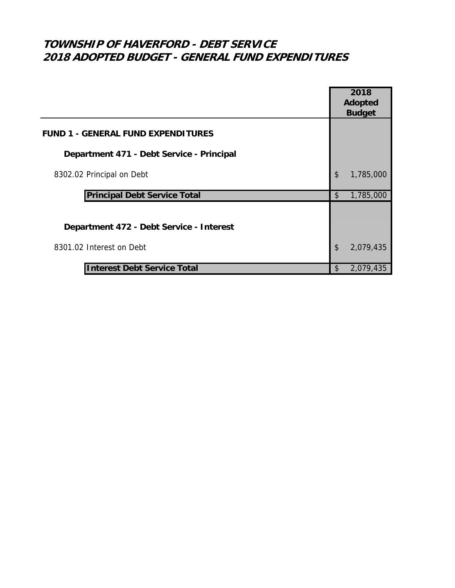# **TOWNSHIP OF HAVERFORD - DEBT SERVICE 2018 ADOPTED BUDGET - GENERAL FUND EXPENDITURES**

|                                           |                           | 2018          |
|-------------------------------------------|---------------------------|---------------|
|                                           | Adopted                   |               |
|                                           |                           | <b>Budget</b> |
| <b>FUND 1 - GENERAL FUND EXPENDITURES</b> |                           |               |
| Department 471 - Debt Service - Principal |                           |               |
| 8302.02 Principal on Debt                 | $\boldsymbol{\mathsf{S}}$ | 1,785,000     |
| <b>Principal Debt Service Total</b>       | \$                        | 1,785,000     |
|                                           |                           |               |
| Department 472 - Debt Service - Interest  |                           |               |
| 8301.02 Interest on Debt                  | \$                        | 2,079,435     |
| <b>Interest Debt Service Total</b>        | \$                        | 2,079,435     |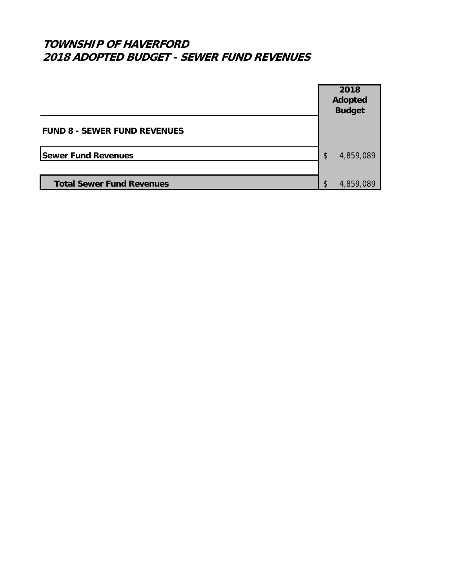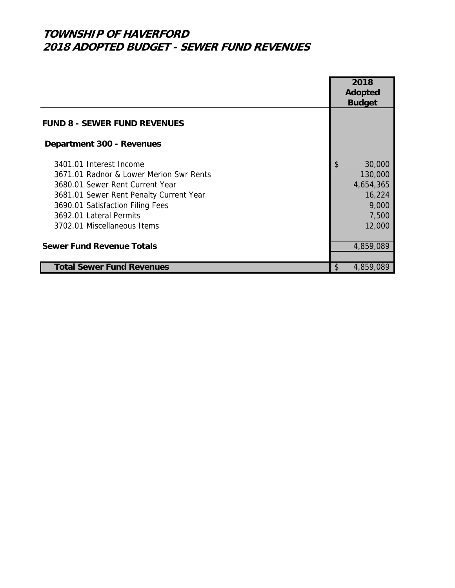|                                         | 2018            |
|-----------------------------------------|-----------------|
|                                         | Adopted         |
|                                         | <b>Budget</b>   |
| <b>FUND 8 - SEWER FUND REVENUES</b>     |                 |
| Department 300 - Revenues               |                 |
| 3401.01 Interest Income                 | \$<br>30,000    |
| 3671.01 Radnor & Lower Merion Swr Rents | 130,000         |
| 3680.01 Sewer Rent Current Year         | 4,654,365       |
| 3681.01 Sewer Rent Penalty Current Year | 16,224          |
| 3690.01 Satisfaction Filing Fees        | 9,000           |
| 3692.01 Lateral Permits                 | 7,500           |
| 3702.01 Miscellaneous Items             | 12,000          |
| <b>Sewer Fund Revenue Totals</b>        | 4,859,089       |
| <b>Total Sewer Fund Revenues</b>        | \$<br>4,859,089 |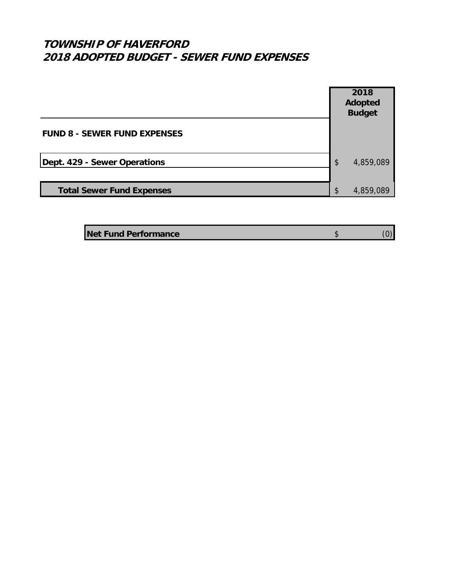|                                     | 2018<br>Adopted<br><b>Budget</b> |           |
|-------------------------------------|----------------------------------|-----------|
| <b>FUND 8 - SEWER FUND EXPENSES</b> |                                  |           |
| Dept. 429 - Sewer Operations        | $\boldsymbol{\mathsf{S}}$        | 4,859,089 |
| <b>Total Sewer Fund Expenses</b>    | \$                               | 4,859,089 |

| <b>Net Fund Performance</b> |  |
|-----------------------------|--|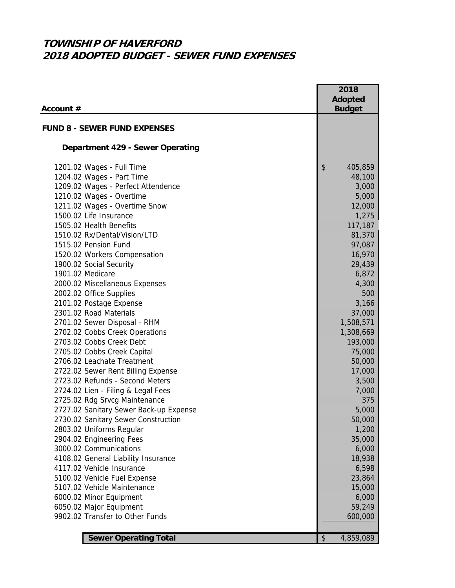|                                        | 2018                       |
|----------------------------------------|----------------------------|
|                                        | <b>Adopted</b>             |
| Account #                              | <b>Budget</b>              |
|                                        |                            |
| <b>FUND 8 - SEWER FUND EXPENSES</b>    |                            |
| Department 429 - Sewer Operating       |                            |
| 1201.02 Wages - Full Time              | \$<br>405,859              |
| 1204.02 Wages - Part Time              | 48,100                     |
| 1209.02 Wages - Perfect Attendence     | 3,000                      |
| 1210.02 Wages - Overtime               | 5,000                      |
| 1211.02 Wages - Overtime Snow          | 12,000                     |
| 1500.02 Life Insurance                 | 1,275                      |
| 1505.02 Health Benefits                | 117,187                    |
| 1510.02 Rx/Dental/Vision/LTD           | 81,370                     |
| 1515.02 Pension Fund                   | 97,087                     |
| 1520.02 Workers Compensation           | 16,970                     |
| 1900.02 Social Security                | 29,439                     |
| 1901.02 Medicare                       | 6,872                      |
| 2000.02 Miscellaneous Expenses         | 4,300                      |
| 2002.02 Office Supplies                | 500                        |
| 2101.02 Postage Expense                | 3,166                      |
| 2301.02 Road Materials                 | 37,000                     |
| 2701.02 Sewer Disposal - RHM           | 1,508,571                  |
| 2702.02 Cobbs Creek Operations         | 1,308,669                  |
| 2703.02 Cobbs Creek Debt               | 193,000                    |
| 2705.02 Cobbs Creek Capital            | 75,000                     |
| 2706.02 Leachate Treatment             | 50,000                     |
| 2722.02 Sewer Rent Billing Expense     | 17,000                     |
| 2723.02 Refunds - Second Meters        | 3,500                      |
| 2724.02 Lien - Filing & Legal Fees     | 7,000                      |
| 2725.02 Rdg Srvcg Maintenance          | 375                        |
| 2727.02 Sanitary Sewer Back-up Expense | 5,000                      |
| 2730.02 Sanitary Sewer Construction    | 50,000                     |
| 2803.02 Uniforms Regular               | 1,200                      |
| 2904.02 Engineering Fees               | 35,000                     |
| 3000.02 Communications                 | 6,000                      |
| 4108.02 General Liability Insurance    | 18,938                     |
| 4117.02 Vehicle Insurance              | 6,598                      |
| 5100.02 Vehicle Fuel Expense           | 23,864                     |
| 5107.02 Vehicle Maintenance            | 15,000                     |
| 6000.02 Minor Equipment                | 6,000                      |
| 6050.02 Major Equipment                | 59,249                     |
| 9902.02 Transfer to Other Funds        | 600,000                    |
|                                        |                            |
| <b>Sewer Operating Total</b>           | $\frac{1}{2}$<br>4,859,089 |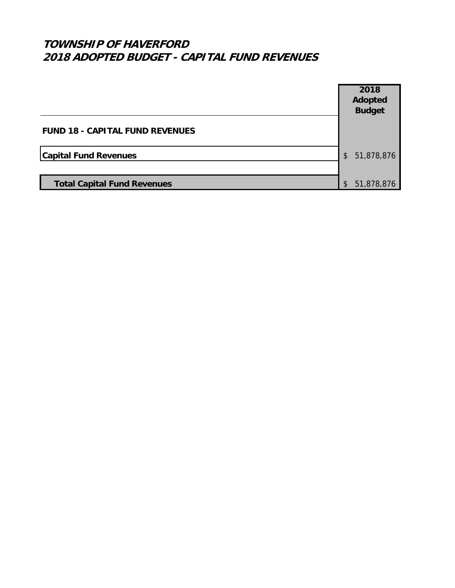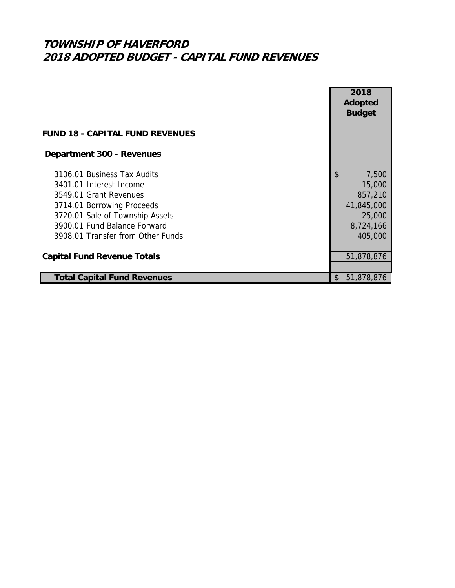|                                        |     | 2018          |
|----------------------------------------|-----|---------------|
|                                        |     | Adopted       |
|                                        |     | <b>Budget</b> |
| <b>FUND 18 - CAPITAL FUND REVENUES</b> |     |               |
| Department 300 - Revenues              |     |               |
| 3106.01 Business Tax Audits            | \$  | 7,500         |
| 3401.01 Interest Income                |     | 15,000        |
| 3549.01 Grant Revenues                 |     | 857,210       |
| 3714.01 Borrowing Proceeds             |     | 41,845,000    |
| 3720.01 Sale of Township Assets        |     | 25,000        |
| 3900.01 Fund Balance Forward           |     | 8,724,166     |
| 3908.01 Transfer from Other Funds      |     | 405,000       |
|                                        |     |               |
| <b>Capital Fund Revenue Totals</b>     |     | 51,878,876    |
|                                        |     |               |
| <b>Total Capital Fund Revenues</b>     | \$. | 51,878,876    |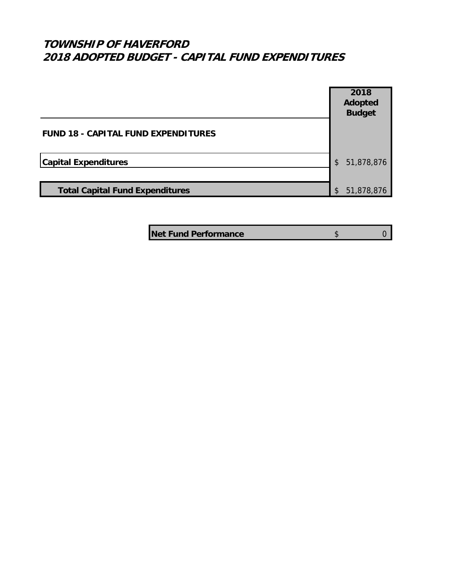#### **TOWNSHIP OF HAVERFORD 2018 ADOPTED BUDGET - CAPITAL FUND EXPENDITURES**



**Net Fund Performance by a strategie of**  $\frac{1}{2}$  **by a contract of**  $\frac{1}{2}$  **by a contract of**  $\frac{1}{2}$  **by a contract of**  $\frac{1}{2}$  **by a contract of**  $\frac{1}{2}$  **by a contract of**  $\frac{1}{2}$  **by a contract of**  $\frac{1}{2}$  **by a con**